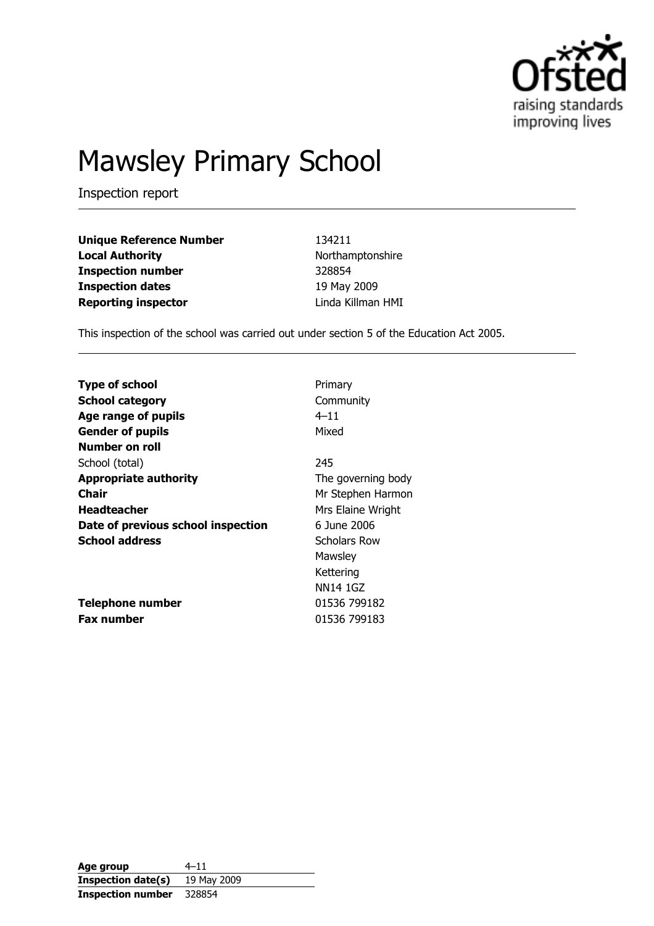

# Mawsley Primary School

Inspection report

Unique Reference Number 134211 Local Authority **Northamptonshire** Northamptonshire Inspection number 328854 **Inspection dates** 19 May 2009 Reporting inspector **Linda Killman HMI** 

This inspection of the school was carried out under section 5 of the Education Act 2005.

| <b>Type of school</b>              | Primary             |
|------------------------------------|---------------------|
| <b>School category</b>             | Community           |
| Age range of pupils                | $4 - 11$            |
| <b>Gender of pupils</b>            | Mixed               |
| Number on roll                     |                     |
| School (total)                     | 245                 |
| <b>Appropriate authority</b>       | The governing body  |
| Chair                              | Mr Stephen Harmon   |
| <b>Headteacher</b>                 | Mrs Elaine Wright   |
| Date of previous school inspection | 6 June 2006         |
| <b>School address</b>              | <b>Scholars Row</b> |
|                                    | Mawsley             |
|                                    | Kettering           |
|                                    | NN14 1GZ            |
| <b>Telephone number</b>            | 01536 799182        |
| <b>Fax number</b>                  | 01536 799183        |

Age group  $4-11$ Inspection date(s) 19 May 2009 Inspection number 328854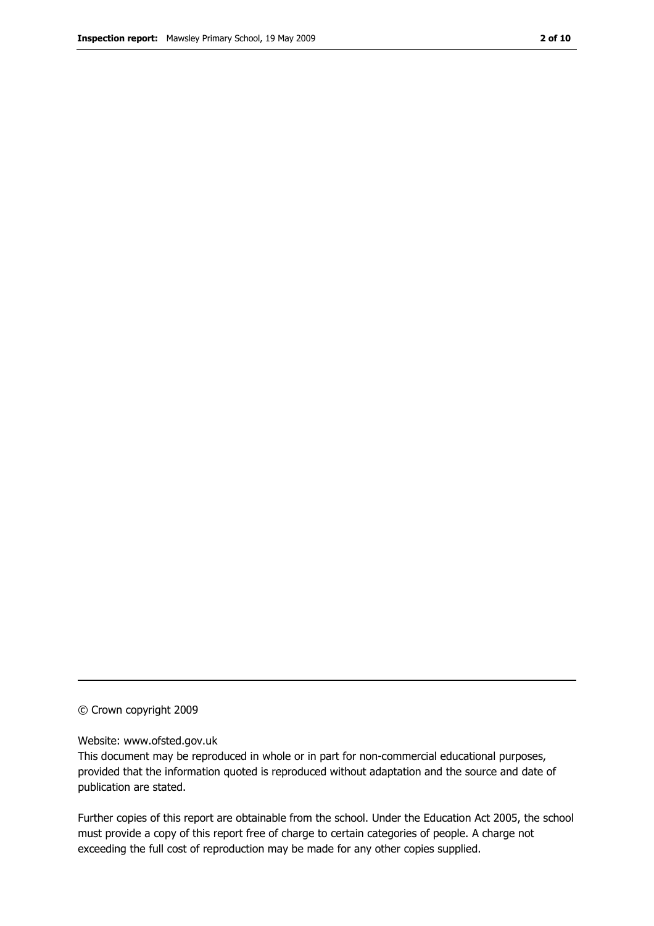#### © Crown copyright 2009

#### Website: www.ofsted.gov.uk

This document may be reproduced in whole or in part for non-commercial educational purposes, provided that the information quoted is reproduced without adaptation and the source and date of publication are stated.

Further copies of this report are obtainable from the school. Under the Education Act 2005, the school must provide a copy of this report free of charge to certain categories of people. A charge not exceeding the full cost of reproduction may be made for any other copies supplied.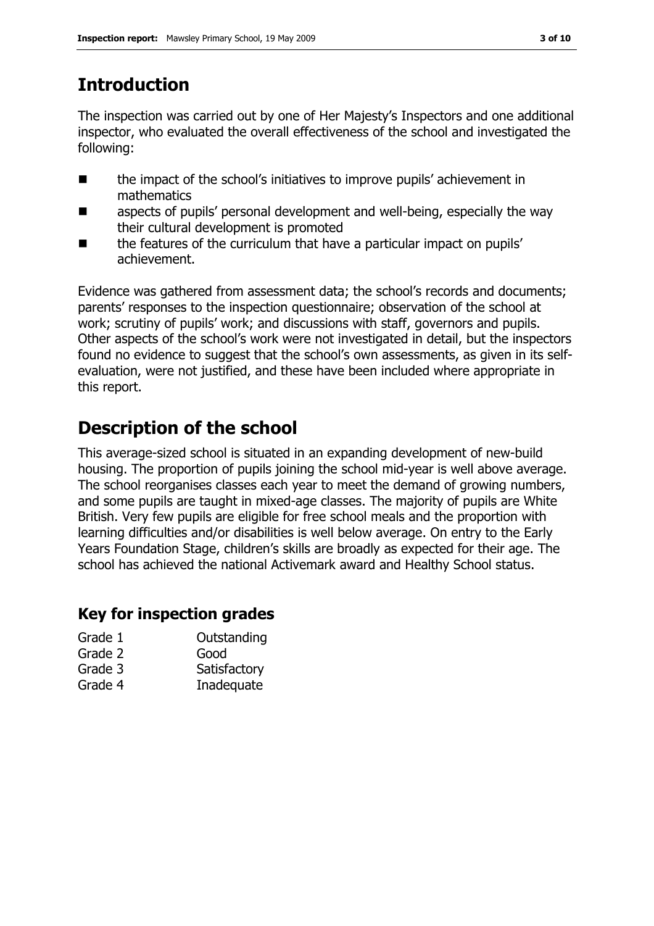## Introduction

The inspection was carried out by one of Her Majesty's Inspectors and one additional inspector, who evaluated the overall effectiveness of the school and investigated the following:

- the impact of the school's initiatives to improve pupils' achievement in mathematics
- **EXECT** aspects of pupils' personal development and well-being, especially the way their cultural development is promoted
- the features of the curriculum that have a particular impact on pupils' achievement.

Evidence was gathered from assessment data; the school's records and documents; parents' responses to the inspection questionnaire; observation of the school at work; scrutiny of pupils' work; and discussions with staff, governors and pupils. Other aspects of the school's work were not investigated in detail, but the inspectors found no evidence to suggest that the school's own assessments, as given in its selfevaluation, were not justified, and these have been included where appropriate in this report.

## Description of the school

This average-sized school is situated in an expanding development of new-build housing. The proportion of pupils joining the school mid-year is well above average. The school reorganises classes each year to meet the demand of growing numbers, and some pupils are taught in mixed-age classes. The majority of pupils are White British. Very few pupils are eligible for free school meals and the proportion with learning difficulties and/or disabilities is well below average. On entry to the Early Years Foundation Stage, children's skills are broadly as expected for their age. The school has achieved the national Activemark award and Healthy School status.

## Key for inspection grades

| Grade 1 | Outstanding  |
|---------|--------------|
| Grade 2 | Good         |
| Grade 3 | Satisfactory |
| Grade 4 | Inadequate   |
|         |              |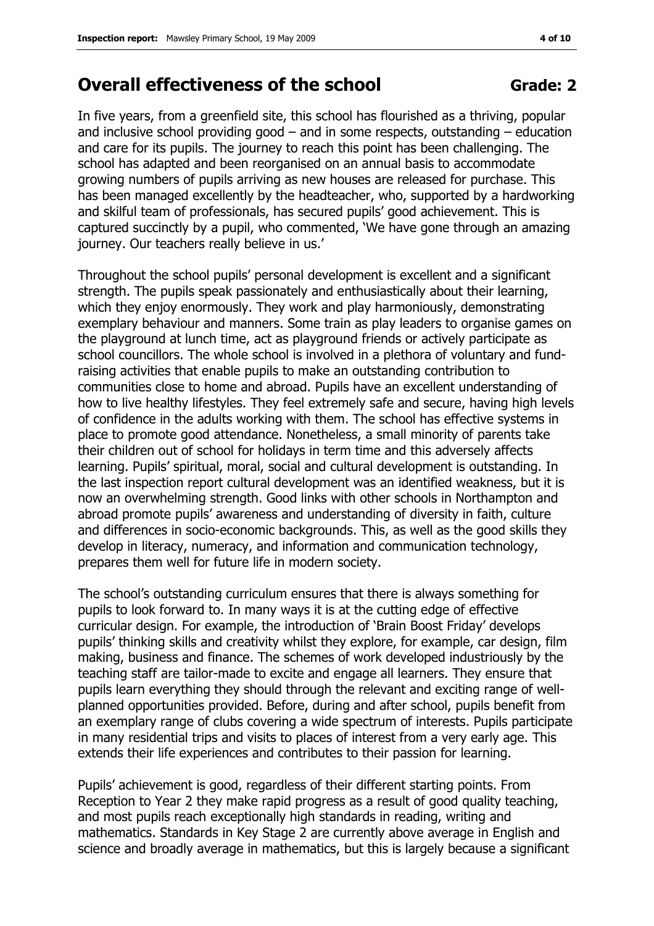## Overall effectiveness of the school Grade: 2

In five years, from a greenfield site, this school has flourished as a thriving, popular and inclusive school providing good – and in some respects, outstanding – education and care for its pupils. The journey to reach this point has been challenging. The school has adapted and been reorganised on an annual basis to accommodate growing numbers of pupils arriving as new houses are released for purchase. This has been managed excellently by the headteacher, who, supported by a hardworking and skilful team of professionals, has secured pupils' good achievement. This is captured succinctly by a pupil, who commented, 'We have gone through an amazing journey. Our teachers really believe in us.'

Throughout the school pupils' personal development is excellent and a significant strength. The pupils speak passionately and enthusiastically about their learning, which they enjoy enormously. They work and play harmoniously, demonstrating exemplary behaviour and manners. Some train as play leaders to organise games on the playground at lunch time, act as playground friends or actively participate as school councillors. The whole school is involved in a plethora of voluntary and fundraising activities that enable pupils to make an outstanding contribution to communities close to home and abroad. Pupils have an excellent understanding of how to live healthy lifestyles. They feel extremely safe and secure, having high levels of confidence in the adults working with them. The school has effective systems in place to promote good attendance. Nonetheless, a small minority of parents take their children out of school for holidays in term time and this adversely affects learning. Pupils' spiritual, moral, social and cultural development is outstanding. In the last inspection report cultural development was an identified weakness, but it is now an overwhelming strength. Good links with other schools in Northampton and abroad promote pupils' awareness and understanding of diversity in faith, culture and differences in socio-economic backgrounds. This, as well as the good skills they develop in literacy, numeracy, and information and communication technology, prepares them well for future life in modern society.

The school's outstanding curriculum ensures that there is always something for pupils to look forward to. In many ways it is at the cutting edge of effective curricular design. For example, the introduction of 'Brain Boost Friday' develops pupils' thinking skills and creativity whilst they explore, for example, car design, film making, business and finance. The schemes of work developed industriously by the teaching staff are tailor-made to excite and engage all learners. They ensure that pupils learn everything they should through the relevant and exciting range of wellplanned opportunities provided. Before, during and after school, pupils benefit from an exemplary range of clubs covering a wide spectrum of interests. Pupils participate in many residential trips and visits to places of interest from a very early age. This extends their life experiences and contributes to their passion for learning.

Pupils' achievement is good, regardless of their different starting points. From Reception to Year 2 they make rapid progress as a result of good quality teaching, and most pupils reach exceptionally high standards in reading, writing and mathematics. Standards in Key Stage 2 are currently above average in English and science and broadly average in mathematics, but this is largely because a significant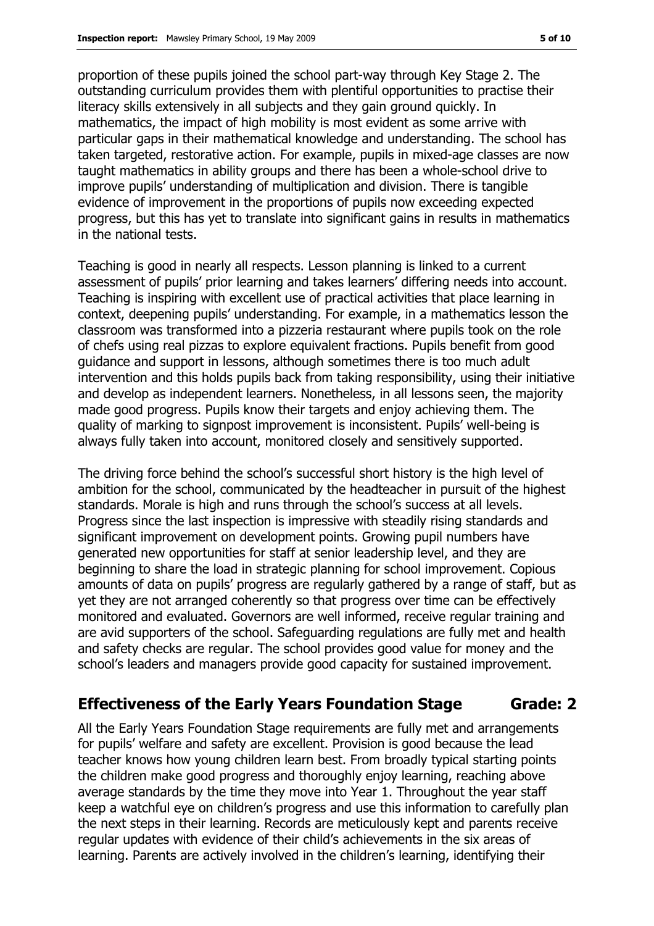proportion of these pupils joined the school part-way through Key Stage 2. The outstanding curriculum provides them with plentiful opportunities to practise their literacy skills extensively in all subjects and they gain ground quickly. In mathematics, the impact of high mobility is most evident as some arrive with particular gaps in their mathematical knowledge and understanding. The school has taken targeted, restorative action. For example, pupils in mixed-age classes are now taught mathematics in ability groups and there has been a whole-school drive to improve pupils' understanding of multiplication and division. There is tangible evidence of improvement in the proportions of pupils now exceeding expected progress, but this has yet to translate into significant gains in results in mathematics in the national tests.

Teaching is good in nearly all respects. Lesson planning is linked to a current assessment of pupils' prior learning and takes learners' differing needs into account. Teaching is inspiring with excellent use of practical activities that place learning in context, deepening pupils' understanding. For example, in a mathematics lesson the classroom was transformed into a pizzeria restaurant where pupils took on the role of chefs using real pizzas to explore equivalent fractions. Pupils benefit from good guidance and support in lessons, although sometimes there is too much adult intervention and this holds pupils back from taking responsibility, using their initiative and develop as independent learners. Nonetheless, in all lessons seen, the majority made good progress. Pupils know their targets and enjoy achieving them. The quality of marking to signpost improvement is inconsistent. Pupils' well-being is always fully taken into account, monitored closely and sensitively supported.

The driving force behind the school's successful short history is the high level of ambition for the school, communicated by the headteacher in pursuit of the highest standards. Morale is high and runs through the school's success at all levels. Progress since the last inspection is impressive with steadily rising standards and significant improvement on development points. Growing pupil numbers have generated new opportunities for staff at senior leadership level, and they are beginning to share the load in strategic planning for school improvement. Copious amounts of data on pupils' progress are regularly gathered by a range of staff, but as yet they are not arranged coherently so that progress over time can be effectively monitored and evaluated. Governors are well informed, receive regular training and are avid supporters of the school. Safeguarding regulations are fully met and health and safety checks are regular. The school provides good value for money and the school's leaders and managers provide good capacity for sustained improvement.

#### Effectiveness of the Early Years Foundation Stage Grade: 2

All the Early Years Foundation Stage requirements are fully met and arrangements for pupils' welfare and safety are excellent. Provision is good because the lead teacher knows how young children learn best. From broadly typical starting points the children make good progress and thoroughly enjoy learning, reaching above average standards by the time they move into Year 1. Throughout the year staff keep a watchful eye on children's progress and use this information to carefully plan the next steps in their learning. Records are meticulously kept and parents receive regular updates with evidence of their child's achievements in the six areas of learning. Parents are actively involved in the children's learning, identifying their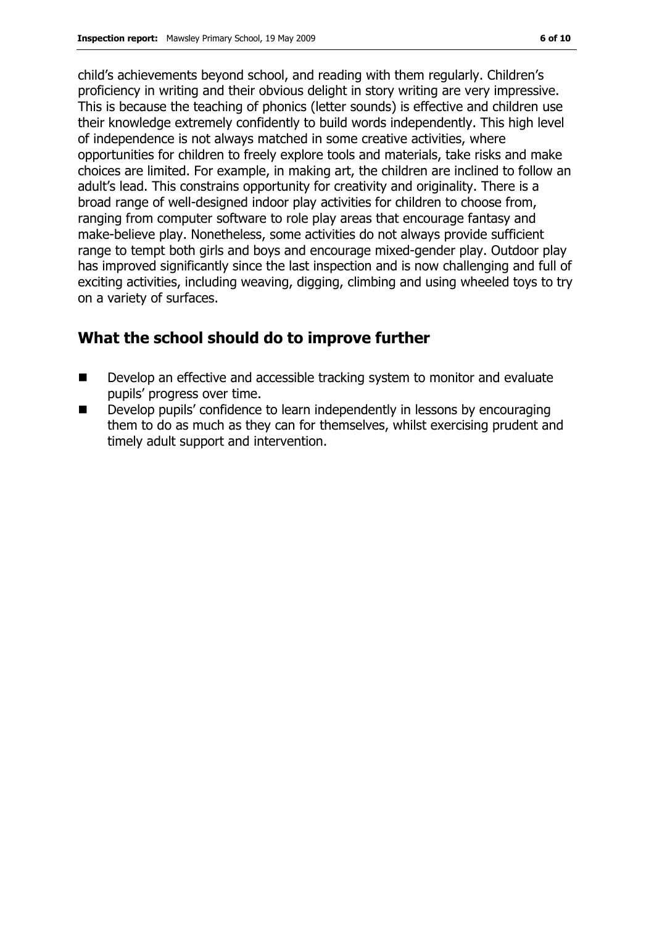child's achievements beyond school, and reading with them regularly. Children's proficiency in writing and their obvious delight in story writing are very impressive. This is because the teaching of phonics (letter sounds) is effective and children use their knowledge extremely confidently to build words independently. This high level of independence is not always matched in some creative activities, where opportunities for children to freely explore tools and materials, take risks and make choices are limited. For example, in making art, the children are inclined to follow an adult's lead. This constrains opportunity for creativity and originality. There is a broad range of well-designed indoor play activities for children to choose from, ranging from computer software to role play areas that encourage fantasy and make-believe play. Nonetheless, some activities do not always provide sufficient range to tempt both girls and boys and encourage mixed-gender play. Outdoor play has improved significantly since the last inspection and is now challenging and full of exciting activities, including weaving, digging, climbing and using wheeled toys to try on a variety of surfaces.

#### What the school should do to improve further

- Develop an effective and accessible tracking system to monitor and evaluate pupils' progress over time.
- Develop pupils' confidence to learn independently in lessons by encouraging them to do as much as they can for themselves, whilst exercising prudent and timely adult support and intervention.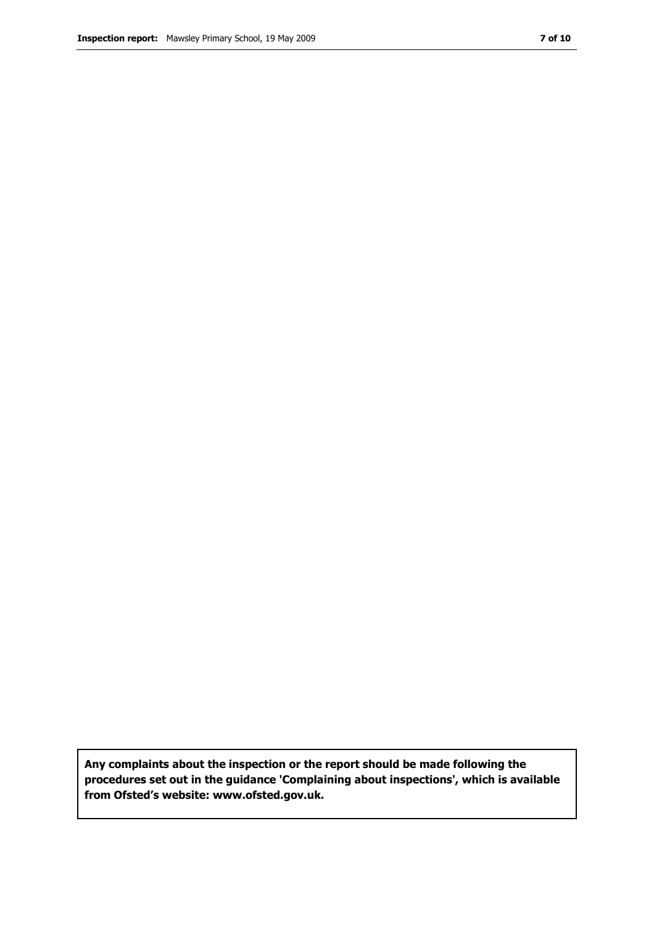Any complaints about the inspection or the report should be made following the procedures set out in the guidance 'Complaining about inspections', which is available from Ofsted's website: www.ofsted.gov.uk.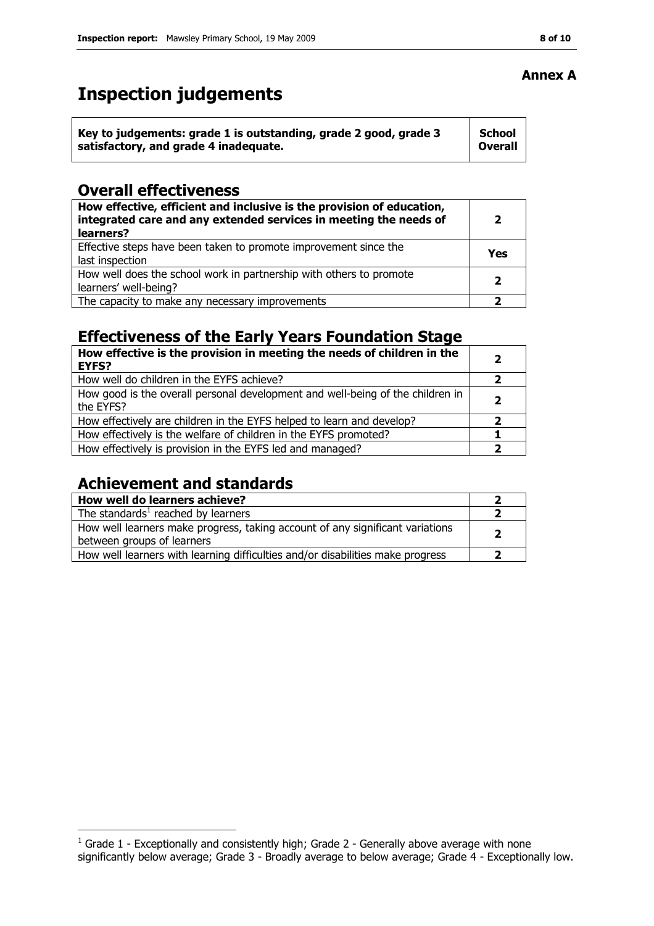## Inspection judgements

| Key to judgements: grade 1 is outstanding, grade 2 good, grade 3 | <b>School</b>  |
|------------------------------------------------------------------|----------------|
| satisfactory, and grade 4 inadequate.                            | <b>Overall</b> |

#### Overall effectiveness

| How effective, efficient and inclusive is the provision of education,<br>integrated care and any extended services in meeting the needs of<br>learners? | כ   |
|---------------------------------------------------------------------------------------------------------------------------------------------------------|-----|
| Effective steps have been taken to promote improvement since the<br>last inspection                                                                     | Yes |
| How well does the school work in partnership with others to promote<br>learners' well-being?                                                            |     |
| The capacity to make any necessary improvements                                                                                                         |     |

#### Effectiveness of the Early Years Foundation Stage

| How effective is the provision in meeting the needs of children in the<br><b>EYFS?</b>      | $\mathbf{2}$   |
|---------------------------------------------------------------------------------------------|----------------|
| How well do children in the EYFS achieve?                                                   |                |
| How good is the overall personal development and well-being of the children in<br>the EYFS? | $\overline{2}$ |
| How effectively are children in the EYFS helped to learn and develop?                       | 2              |
| How effectively is the welfare of children in the EYFS promoted?                            |                |
| How effectively is provision in the EYFS led and managed?                                   | 2              |

#### Achievement and standards

| How well do learners achieve?                                                                               |  |
|-------------------------------------------------------------------------------------------------------------|--|
| The standards $1$ reached by learners                                                                       |  |
| How well learners make progress, taking account of any significant variations<br>between groups of learners |  |
| How well learners with learning difficulties and/or disabilities make progress                              |  |

#### Annex A

 1 Grade 1 - Exceptionally and consistently high; Grade 2 - Generally above average with none significantly below average; Grade 3 - Broadly average to below average; Grade 4 - Exceptionally low.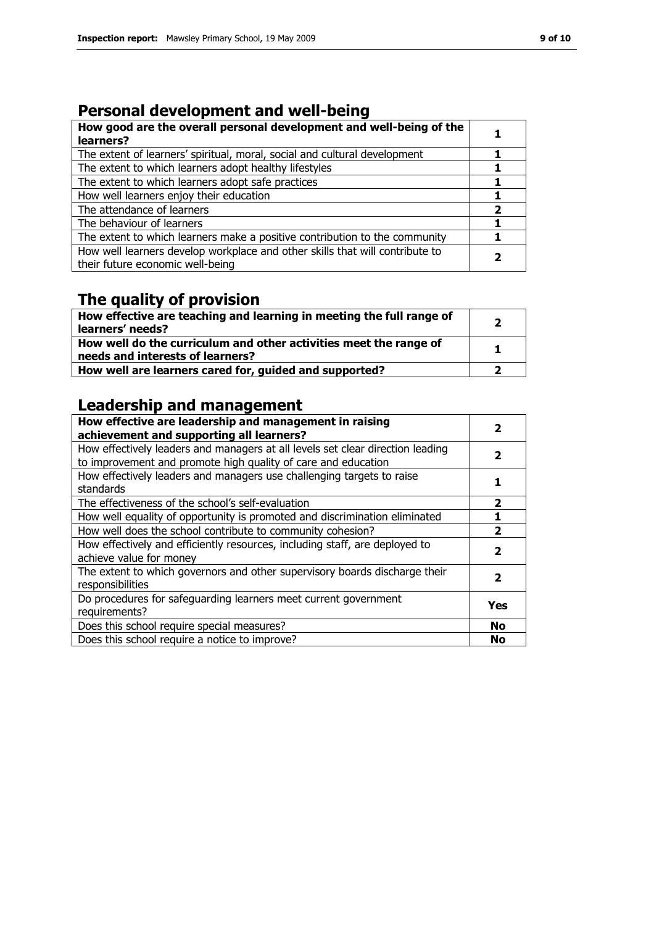### Personal development and well-being

| How good are the overall personal development and well-being of the<br>learners?                                 |  |
|------------------------------------------------------------------------------------------------------------------|--|
| The extent of learners' spiritual, moral, social and cultural development                                        |  |
| The extent to which learners adopt healthy lifestyles                                                            |  |
| The extent to which learners adopt safe practices                                                                |  |
| How well learners enjoy their education                                                                          |  |
| The attendance of learners                                                                                       |  |
| The behaviour of learners                                                                                        |  |
| The extent to which learners make a positive contribution to the community                                       |  |
| How well learners develop workplace and other skills that will contribute to<br>their future economic well-being |  |

## The quality of provision

| How effective are teaching and learning in meeting the full range of<br>learners' needs?              |   |
|-------------------------------------------------------------------------------------------------------|---|
| How well do the curriculum and other activities meet the range of<br>needs and interests of learners? | 1 |
| How well are learners cared for, guided and supported?                                                |   |

## Leadership and management

| How effective are leadership and management in raising<br>achievement and supporting all learners? | 2                       |
|----------------------------------------------------------------------------------------------------|-------------------------|
| How effectively leaders and managers at all levels set clear direction leading                     | 2                       |
| to improvement and promote high quality of care and education                                      |                         |
| How effectively leaders and managers use challenging targets to raise                              |                         |
| standards                                                                                          |                         |
| The effectiveness of the school's self-evaluation                                                  | 2                       |
| How well equality of opportunity is promoted and discrimination eliminated                         |                         |
| How well does the school contribute to community cohesion?                                         | $\overline{\mathbf{2}}$ |
| How effectively and efficiently resources, including staff, are deployed to                        | 2                       |
| achieve value for money                                                                            |                         |
| The extent to which governors and other supervisory boards discharge their                         | 2                       |
| responsibilities                                                                                   |                         |
| Do procedures for safeguarding learners meet current government                                    | Yes                     |
| requirements?                                                                                      |                         |
| Does this school require special measures?                                                         | <b>No</b>               |
| Does this school require a notice to improve?                                                      | No                      |